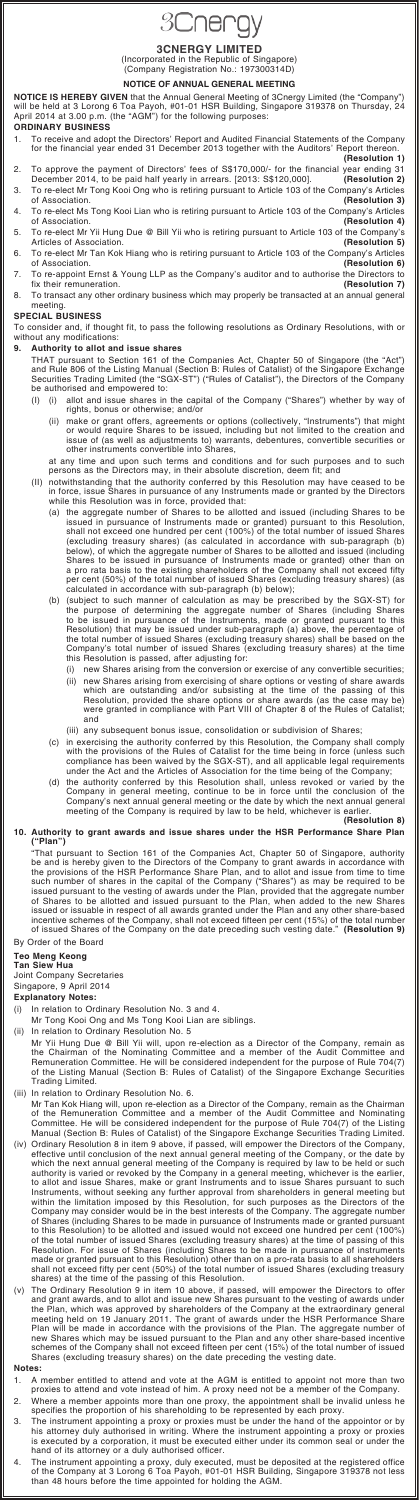# **3Cnergy**

**3CNERGY LIMITED**<br>(Incorporated in the Republic of Singapore)<br>(Company Registration No.: 197300314D)

#### **NOTICE OF ANNUAL GENERAL MEETING**

**NOTICE IS HEREBY GIVEN** that the Annual General Meeting of 3Cnergy Limited (the "Company")<br>will be held at 3 Lorong 6 Toa Payoh, #01-01 HSR Building, Singapore 319378 on Thursday, 24<br>April 2014 at 3.00 p.m. (the "AGM") fo

#### **ORDINARY BUSINESS**

- 1. To receive and adopt the Directors' Report and Audited Financial Statements of the Company for the financial year ended 31 December 2013 together with the Auditors' Report thereon. **(Resolution 1)**
- 2. To approve the payment of Directors' fees of S\$170,000/- for the financial year ending 31<br>December 2014, to be paid half yearly in arrears. [2013: S\$120,000]. (Resolution 2) December 2014, to be paid half yearly in arrears. [2013: S\$120,000]. 3. To re-elect Mr Tong Kooi Ong who is retiring pursuant to Article 103 of the Company's Articles
- of Association. 4. To re-elect Ms Tong Kooi Lian who is retiring pursuant to Article 103 of the Company's Articles<br>19 of Association. of Association. **(Resolution 4)**
- 5. To re-elect Mr Yii Hung Due @ Bill Yii who is retiring pursuant to Article 103 of the Company's Articles of Association. **(Resolution 5)**
- 6. To re-elect Mr Tan Kok Hiang who is retiring pursuant to Article 103 of the Company's Articles of Association. **(Resolution 6)**
- 7. To re-appoint Ernst & Young LLP as the Company's auditor and to authorise the Directors to<br>fix their remuneration. fix their remuneration.
- 8. To transact any other ordinary business which may properly be transacted at an annual general meeting.

#### **SPECIAL BUSINESS**

To consider and, if thought fit, to pass the following resolutions as Ordinary Resolutions, with or without any modifications:

#### **9. Authority to allot and issue shares**

THAT pursuant to Section 161 of the Companies Act, Chapter 50 of Singapore (the "Act") and Rule 806 of the Listing Manual (Section B: Rules of Catalist) of the Singapore Exchange Securities Trading Limited (the "SGX-ST") ("Rules of Catalist"), the Directors of the Company be authorised and empowered to:

- (I) (i) allot and issue shares in the capital of the Company ("Shares") whether by way of rights, bonus or otherwise; and/or
	- (ii) make or grant offers, agreements or options (collectively, "Instruments") that might or would require Shares to be issued, including but not limited to the creation and issue of (as well as adjustments to) warrants, debentures, convertible securities or other instruments convertible into Shares,

at any time and upon such terms and conditions and for such purposes and to such persons as the Directors may, in their absolute discretion, deem fit; and

"That pursuant to Section 161 of the Companies Act, Chapter 50 of Singapore, authority be and is hereby given to the Directors of the Company to grant awards in accordance with<br>the provisions of the HSR Performance Share Plan, and to allot and issue from time to time<br>such number of shares in the capital of t issued pursuant to the vesting of awards under the Plan, provided that the aggregate number<br>of Shares to be allotted and issued pursuant to the Plan, when added to the new Shares<br>issued or issuable in respect of all award

- (II) notwithstanding that the authority conferred by this Resolution may have ceased to be in force, issue Shares in pursuance of any Instruments made or granted by the Directors while this Resolution was in force, provided that:
	- (a) the aggregate number of Shares to be allotted and issued (including Shares to be issued in pursuance of Instruments made or granted) pursuant to this Resolution, shall not exceed one hundred per cent (100%) of the total number of issued Shares<br>(excluding treasury shares) (as calculated in accordance with sub-paragraph (b)<br>below), of which the aggregate number of Shares to be allott calculated in accordance with sub-paragraph (b) below);
	- (b) (subject to such manner of calculation as may be prescribed by the SGX-ST) for the purpose of determining the aggregate number of Shares (including Shares to be issued in pursuance of the Instruments, made or granted p Resolution) that may be issued under sub-paragraph (a) above, the percentage of the total number of issued Shares (excluding treasury shares) shall be based on the Company's total number of issued Shares (excluding treasury shares) at the time this Resolution is passed, after adjusting for:
		- (i) new Shares arising from the conversion or exercise of any convertible securities;
		- (ii) new Shares arising from exercising of share options or vesting of share awards<br>which are outstanding and/or subsisting at the time of the passing of this<br>Resolution, provided the share options or share awards (as the were granted in compliance with Part VIII of Chapter 8 of the Rules of Catalist; and
		- (iii) any subsequent bonus issue, consolidation or subdivision of Shares;
	- (c) in exercising the authority conferred by this Resolution, the Company shall comply with the provisions of the Rules of Catalist for the time being in force (unless such compliance has been waived by the SGX-ST), and all applicable legal requirements under the Act and the Articles of Association for the time being of the Company;
	- (d) the authority conferred by this Resolution shall, unless revoked or varied by the Company in general meeting, continue to be in force until the conclusion of the Company's next annual general meeting or the date by which the next annual general meeting of the Company is required by law to be held, whichever is earlier.

#### **(Resolution 8)**

#### **10. Authority to grant awards and issue shares under the HSR Performance Share Plan ("Plan")**

## By Order of the Board

#### **Teo Meng Keong Tan Siew Hua**

Joint Company Secretaries

### Singapore, 9 April 2014

#### **Explanatory Notes:**

(i) In relation to Ordinary Resolution No. 3 and 4.

- Mr Tong Kooi Ong and Ms Tong Kooi Lian are siblings.
- (ii) In relation to Ordinary Resolution No. 5
- Mr Yii Hung Due @ Bill Yii will, upon re-election as a Director of the Company, remain as<br>the Chairman of the Nominating Committee and a member of the Audit Committee and<br>Remuneration Committee. He will be considered indep of the Listing Manual (Section B: Rules of Catalist) of the Singapore Exchange Securities Trading Limited.
- (iii) In relation to Ordinary Resolution No. 6.
- Mr Tan Kok Hiang will, upon re-election as a Director of the Company, remain as the Chairman
	- of the Remuneration Committee and a member of the Audit Committee and Nominating Committee. He will be considered independent for the purpose of Rule 704(7) of the Listing Manual (Section B: Rules of Catalist) of the Singapore Exchange Securities Trading Limited.
- (iv) Ordinary Resolution 8 in item 9 above, if passed, will empower the Directors of the Company, effective until conclusion of the next annual general meeting of the Company, or the date by which the next annual general meeting of the Company is required by law to be held or such<br>authority is varied or revoked by the Company in a general meeting, whichever is the earlier,<br>to allot and issue Shares, make or gr Instruments, without seeking any further approval from shareholders in general meeting but within the limitation imposed by this Resolution, for such purposes as the Directors of the Company may consider would be in the best interests of the Company. The aggregate number of Shares (including Shares to be made in pursuance of Instruments made or granted pursuant to this Resolution) to be allotted and issued would not exceed one hundred per cent (100%) of the total number of issued Shares (excluding treasury shares) at the time of passing of this Resolution. For issue of Shares (including Shares to be made in pursuance of instruments made or granted pursuant to this Resolution) other than on a pro-rata basis to all shareholders shall not exceed fifty per cent (50%) of the total number of issued Shares (excluding treasury shares) at the time of the passing of this Resolution.
- (v) The Ordinary Resolution 9 in item 10 above, if passed, will empower the Directors to offer and grant awards, and to allot and issue new Shares pursuant to the vesting of awards under the Plan, which was approved by shareholders of the Company at the extraordinary general<br>meeting held on 19 January 2011. The grant of awards under the HSR Performance Share<br>Plan will be made in accordance with the provisi new Shares which may be issued pursuant to the Plan and any other share-based incentive schemes of the Company shall not exceed fifteen per cent (15%) of the total number of issued Shares (excluding treasury shares) on the date preceding the vesting date.

#### **Notes:**

- 1. A member entitled to attend and vote at the AGM is entitled to appoint not more than two proxies to attend and vote instead of him. A proxy need not be a member of the Company.
- 2. Where a member appoints more than one proxy, the appointment shall be invalid unless he specifies the proportion of his shareholding to be represented by each proxy.
- 3. The instrument appointing a proxy or proxies must be under the hand of the appointor or by<br>his attorney duly authorised in writing. Where the instrument appointing a proxy or proxies<br>is executed by a corporation, it mus
- 4. The instrument appointing a proxy, duly executed, must be deposited at the registered office of the Company at 3 Lorong 6 Toa Payoh, #01-01 HSR Building, Singapore 319378 not less than 48 hours before the time appointed for holding the AGM.